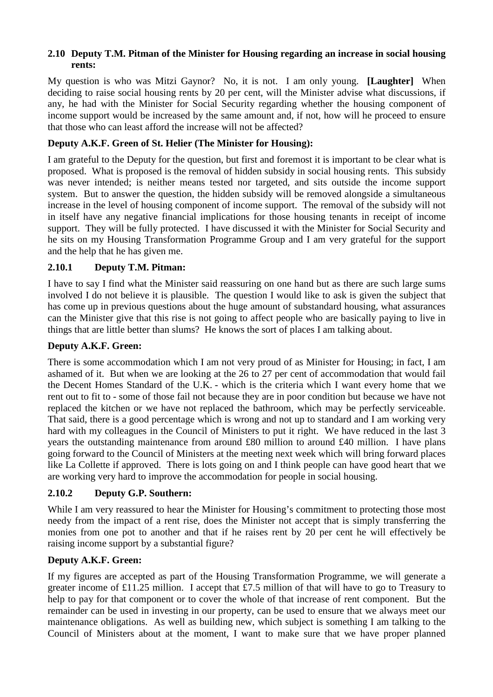#### **2.10 Deputy T.M. Pitman of the Minister for Housing regarding an increase in social housing rents:**

My question is who was Mitzi Gaynor? No, it is not. I am only young. **[Laughter]** When deciding to raise social housing rents by 20 per cent, will the Minister advise what discussions, if any, he had with the Minister for Social Security regarding whether the housing component of income support would be increased by the same amount and, if not, how will he proceed to ensure that those who can least afford the increase will not be affected?

#### **Deputy A.K.F. Green of St. Helier (The Minister for Housing):**

I am grateful to the Deputy for the question, but first and foremost it is important to be clear what is proposed. What is proposed is the removal of hidden subsidy in social housing rents. This subsidy was never intended; is neither means tested nor targeted, and sits outside the income support system. But to answer the question, the hidden subsidy will be removed alongside a simultaneous increase in the level of housing component of income support. The removal of the subsidy will not in itself have any negative financial implications for those housing tenants in receipt of income support. They will be fully protected. I have discussed it with the Minister for Social Security and he sits on my Housing Transformation Programme Group and I am very grateful for the support and the help that he has given me.

#### **2.10.1 Deputy T.M. Pitman:**

I have to say I find what the Minister said reassuring on one hand but as there are such large sums involved I do not believe it is plausible. The question I would like to ask is given the subject that has come up in previous questions about the huge amount of substandard housing, what assurances can the Minister give that this rise is not going to affect people who are basically paying to live in things that are little better than slums? He knows the sort of places I am talking about.

#### **Deputy A.K.F. Green:**

There is some accommodation which I am not very proud of as Minister for Housing; in fact, I am ashamed of it. But when we are looking at the 26 to 27 per cent of accommodation that would fail the Decent Homes Standard of the U.K. - which is the criteria which I want every home that we rent out to fit to - some of those fail not because they are in poor condition but because we have not replaced the kitchen or we have not replaced the bathroom, which may be perfectly serviceable. That said, there is a good percentage which is wrong and not up to standard and I am working very hard with my colleagues in the Council of Ministers to put it right. We have reduced in the last 3 years the outstanding maintenance from around £80 million to around £40 million. I have plans going forward to the Council of Ministers at the meeting next week which will bring forward places like La Collette if approved. There is lots going on and I think people can have good heart that we are working very hard to improve the accommodation for people in social housing.

#### **2.10.2 Deputy G.P. Southern:**

While I am very reassured to hear the Minister for Housing's commitment to protecting those most needy from the impact of a rent rise, does the Minister not accept that is simply transferring the monies from one pot to another and that if he raises rent by 20 per cent he will effectively be raising income support by a substantial figure?

#### **Deputy A.K.F. Green:**

If my figures are accepted as part of the Housing Transformation Programme, we will generate a greater income of £11.25 million. I accept that £7.5 million of that will have to go to Treasury to help to pay for that component or to cover the whole of that increase of rent component. But the remainder can be used in investing in our property, can be used to ensure that we always meet our maintenance obligations. As well as building new, which subject is something I am talking to the Council of Ministers about at the moment, I want to make sure that we have proper planned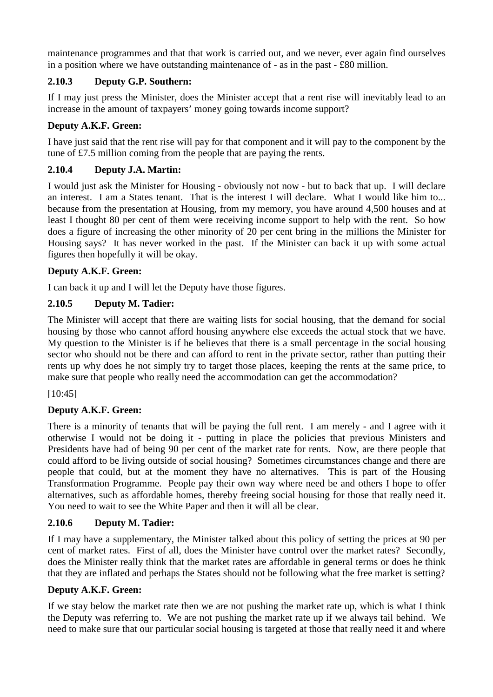maintenance programmes and that that work is carried out, and we never, ever again find ourselves in a position where we have outstanding maintenance of - as in the past - £80 million.

## **2.10.3 Deputy G.P. Southern:**

If I may just press the Minister, does the Minister accept that a rent rise will inevitably lead to an increase in the amount of taxpayers' money going towards income support?

## **Deputy A.K.F. Green:**

I have just said that the rent rise will pay for that component and it will pay to the component by the tune of £7.5 million coming from the people that are paying the rents.

## **2.10.4 Deputy J.A. Martin:**

I would just ask the Minister for Housing - obviously not now - but to back that up. I will declare an interest. I am a States tenant. That is the interest I will declare. What I would like him to... because from the presentation at Housing, from my memory, you have around 4,500 houses and at least I thought 80 per cent of them were receiving income support to help with the rent. So how does a figure of increasing the other minority of 20 per cent bring in the millions the Minister for Housing says? It has never worked in the past. If the Minister can back it up with some actual figures then hopefully it will be okay.

## **Deputy A.K.F. Green:**

I can back it up and I will let the Deputy have those figures.

## **2.10.5 Deputy M. Tadier:**

The Minister will accept that there are waiting lists for social housing, that the demand for social housing by those who cannot afford housing anywhere else exceeds the actual stock that we have. My question to the Minister is if he believes that there is a small percentage in the social housing sector who should not be there and can afford to rent in the private sector, rather than putting their rents up why does he not simply try to target those places, keeping the rents at the same price, to make sure that people who really need the accommodation can get the accommodation?

[10:45]

# **Deputy A.K.F. Green:**

There is a minority of tenants that will be paying the full rent. I am merely - and I agree with it otherwise I would not be doing it - putting in place the policies that previous Ministers and Presidents have had of being 90 per cent of the market rate for rents. Now, are there people that could afford to be living outside of social housing? Sometimes circumstances change and there are people that could, but at the moment they have no alternatives. This is part of the Housing Transformation Programme. People pay their own way where need be and others I hope to offer alternatives, such as affordable homes, thereby freeing social housing for those that really need it. You need to wait to see the White Paper and then it will all be clear.

## **2.10.6 Deputy M. Tadier:**

If I may have a supplementary, the Minister talked about this policy of setting the prices at 90 per cent of market rates. First of all, does the Minister have control over the market rates? Secondly, does the Minister really think that the market rates are affordable in general terms or does he think that they are inflated and perhaps the States should not be following what the free market is setting?

## **Deputy A.K.F. Green:**

If we stay below the market rate then we are not pushing the market rate up, which is what I think the Deputy was referring to. We are not pushing the market rate up if we always tail behind. We need to make sure that our particular social housing is targeted at those that really need it and where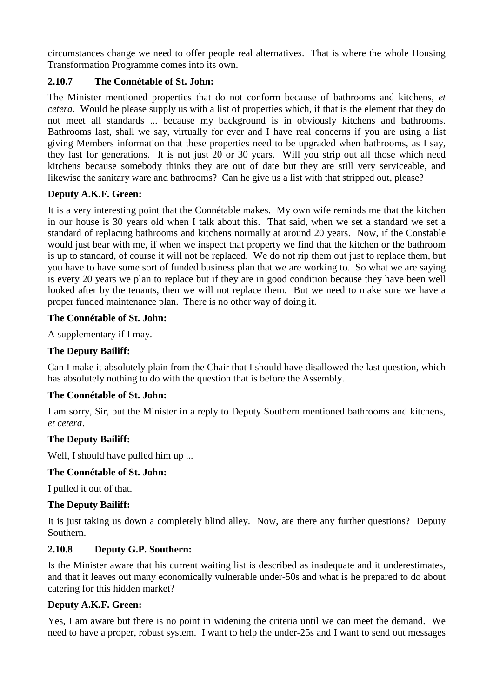circumstances change we need to offer people real alternatives. That is where the whole Housing Transformation Programme comes into its own.

## **2.10.7 The Connétable of St. John:**

The Minister mentioned properties that do not conform because of bathrooms and kitchens, *et cetera*. Would he please supply us with a list of properties which, if that is the element that they do not meet all standards ... because my background is in obviously kitchens and bathrooms. Bathrooms last, shall we say, virtually for ever and I have real concerns if you are using a list giving Members information that these properties need to be upgraded when bathrooms, as I say, they last for generations. It is not just 20 or 30 years. Will you strip out all those which need kitchens because somebody thinks they are out of date but they are still very serviceable, and likewise the sanitary ware and bathrooms? Can he give us a list with that stripped out, please?

## **Deputy A.K.F. Green:**

It is a very interesting point that the Connétable makes. My own wife reminds me that the kitchen in our house is 30 years old when I talk about this. That said, when we set a standard we set a standard of replacing bathrooms and kitchens normally at around 20 years. Now, if the Constable would just bear with me, if when we inspect that property we find that the kitchen or the bathroom is up to standard, of course it will not be replaced. We do not rip them out just to replace them, but you have to have some sort of funded business plan that we are working to. So what we are saying is every 20 years we plan to replace but if they are in good condition because they have been well looked after by the tenants, then we will not replace them. But we need to make sure we have a proper funded maintenance plan. There is no other way of doing it.

#### **The Connétable of St. John:**

A supplementary if I may.

## **The Deputy Bailiff:**

Can I make it absolutely plain from the Chair that I should have disallowed the last question, which has absolutely nothing to do with the question that is before the Assembly.

## **The Connétable of St. John:**

I am sorry, Sir, but the Minister in a reply to Deputy Southern mentioned bathrooms and kitchens, *et cetera*.

## **The Deputy Bailiff:**

Well, I should have pulled him up ...

## **The Connétable of St. John:**

I pulled it out of that.

## **The Deputy Bailiff:**

It is just taking us down a completely blind alley. Now, are there any further questions? Deputy Southern.

## **2.10.8 Deputy G.P. Southern:**

Is the Minister aware that his current waiting list is described as inadequate and it underestimates, and that it leaves out many economically vulnerable under-50s and what is he prepared to do about catering for this hidden market?

## **Deputy A.K.F. Green:**

Yes, I am aware but there is no point in widening the criteria until we can meet the demand. We need to have a proper, robust system. I want to help the under-25s and I want to send out messages